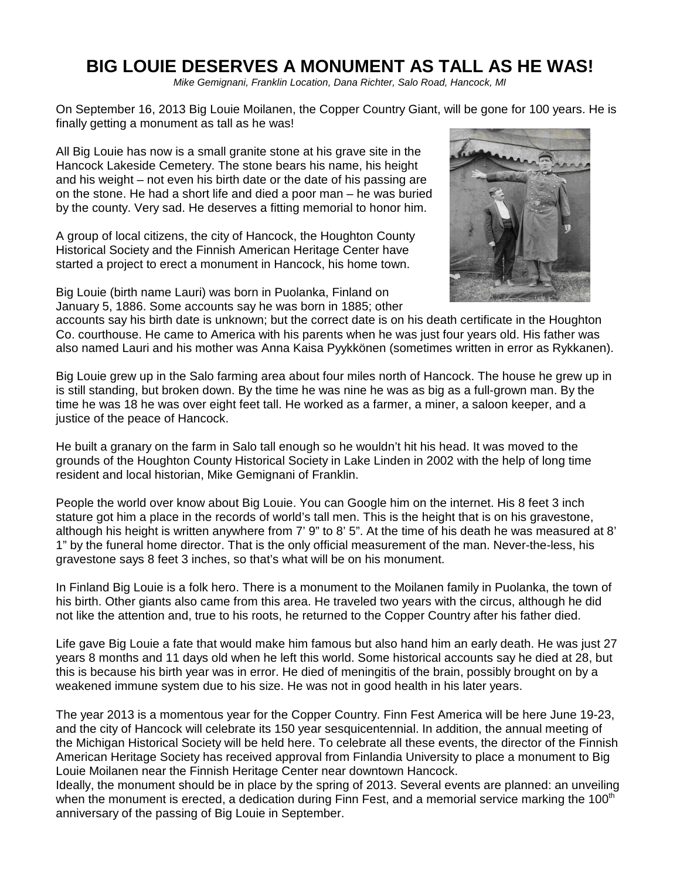# **BIG LOUIE DESERVES A MONUMENT AS TALL AS HE WAS!**

Mike Gemignani, Franklin Location, Dana Richter, Salo Road, Hancock, MI

On September 16, 2013 Big Louie Moilanen, the Copper Country Giant, will be gone for 100 years. He is finally getting a monument as tall as he was!

All Big Louie has now is a small granite stone at his grave site in the Hancock Lakeside Cemetery. The stone bears his name, his height and his weight – not even his birth date or the date of his passing are on the stone. He had a short life and died a poor man – he was buried by the county. Very sad. He deserves a fitting memorial to honor him.

A group of local citizens, the city of Hancock, the Houghton County Historical Society and the Finnish American Heritage Center have started a project to erect a monument in Hancock, his home town.

Big Louie (birth name Lauri) was born in Puolanka, Finland on January 5, 1886. Some accounts say he was born in 1885; other



accounts say his birth date is unknown; but the correct date is on his death certificate in the Houghton Co. courthouse. He came to America with his parents when he was just four years old. His father was also named Lauri and his mother was Anna Kaisa Pyykkönen (sometimes written in error as Rykkanen).

Big Louie grew up in the Salo farming area about four miles north of Hancock. The house he grew up in is still standing, but broken down. By the time he was nine he was as big as a full-grown man. By the time he was 18 he was over eight feet tall. He worked as a farmer, a miner, a saloon keeper, and a justice of the peace of Hancock.

He built a granary on the farm in Salo tall enough so he wouldn't hit his head. It was moved to the grounds of the Houghton County Historical Society in Lake Linden in 2002 with the help of long time resident and local historian, Mike Gemignani of Franklin.

People the world over know about Big Louie. You can Google him on the internet. His 8 feet 3 inch stature got him a place in the records of world's tall men. This is the height that is on his gravestone, although his height is written anywhere from 7' 9" to 8' 5". At the time of his death he was measured at 8' 1" by the funeral home director. That is the only official measurement of the man. Never-the-less, his gravestone says 8 feet 3 inches, so that's what will be on his monument.

In Finland Big Louie is a folk hero. There is a monument to the Moilanen family in Puolanka, the town of his birth. Other giants also came from this area. He traveled two years with the circus, although he did not like the attention and, true to his roots, he returned to the Copper Country after his father died.

Life gave Big Louie a fate that would make him famous but also hand him an early death. He was just 27 years 8 months and 11 days old when he left this world. Some historical accounts say he died at 28, but this is because his birth year was in error. He died of meningitis of the brain, possibly brought on by a weakened immune system due to his size. He was not in good health in his later years.

The year 2013 is a momentous year for the Copper Country. Finn Fest America will be here June 19-23, and the city of Hancock will celebrate its 150 year sesquicentennial. In addition, the annual meeting of the Michigan Historical Society will be held here. To celebrate all these events, the director of the Finnish American Heritage Society has received approval from Finlandia University to place a monument to Big Louie Moilanen near the Finnish Heritage Center near downtown Hancock.

Ideally, the monument should be in place by the spring of 2013. Several events are planned: an unveiling when the monument is erected, a dedication during Finn Fest, and a memorial service marking the 100<sup>th</sup> anniversary of the passing of Big Louie in September.